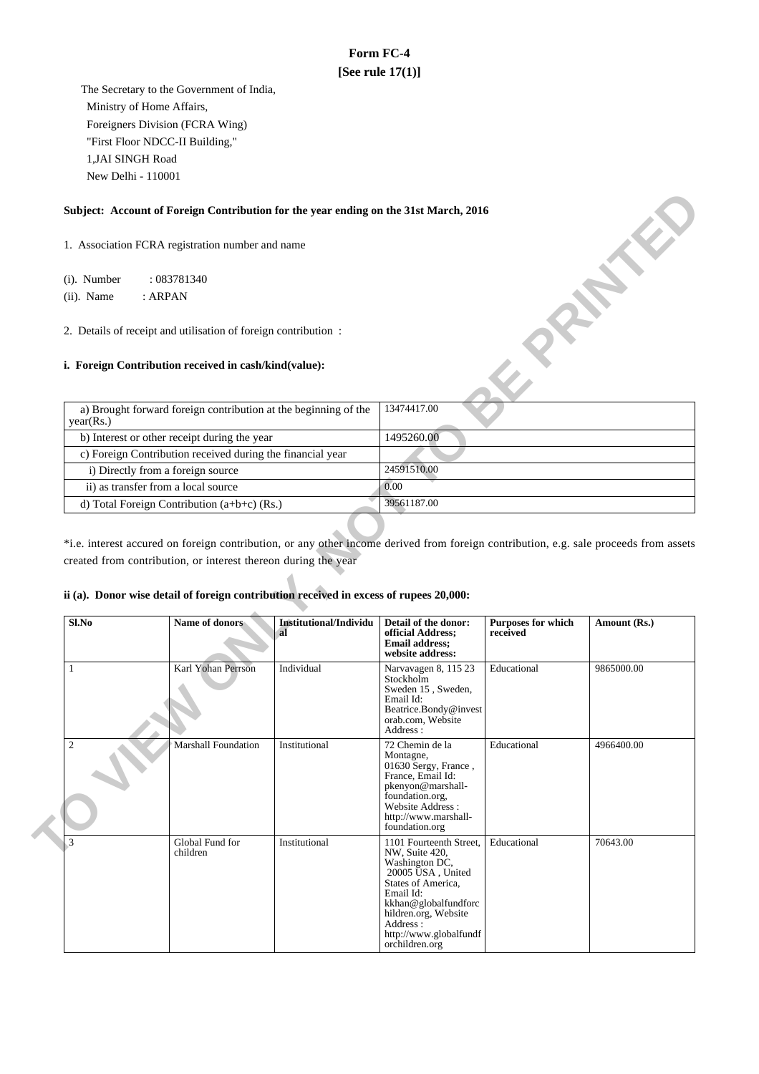# **Form FC-4 [See rule 17(1)]**

 The Secretary to the Government of India, Ministry of Home Affairs, Foreigners Division (FCRA Wing) "First Floor NDCC-II Building," 1,JAI SINGH Road New Delhi - 110001

#### **Subject: Account of Foreign Contribution for the year ending on the 31st March, 2016**

### **i. Foreign Contribution received in cash/kind(value):**

| Subject: Account of Foreign Contribution for the year ending on the 31st March, 2016                                    |             |
|-------------------------------------------------------------------------------------------------------------------------|-------------|
| 1. Association FCRA registration number and name                                                                        |             |
| (i). Number<br>: 083781340                                                                                              |             |
| $(ii)$ . Name<br>: <b>ARPAN</b>                                                                                         |             |
| 2. Details of receipt and utilisation of foreign contribution:<br>i. Foreign Contribution received in cash/kind(value): |             |
| a) Brought forward foreign contribution at the beginning of the<br>year(Rs.)                                            | 13474417.00 |
| b) Interest or other receipt during the year                                                                            | 1495260.00  |
| c) Foreign Contribution received during the financial year                                                              |             |
| i) Directly from a foreign source                                                                                       | 24591510.00 |
| ii) as transfer from a local source                                                                                     | 0.00        |
| d) Total Foreign Contribution (a+b+c) (Rs.)                                                                             | 39561187.00 |

\*i.e. interest accured on foreign contribution, or any other income derived from foreign contribution, e.g. sale proceeds from assets created from contribution, or interest thereon during the year

# **ii (a). Donor wise detail of foreign contribution received in excess of rupees 20,000:**

| Sl.No                   | Name of donors              | Institutional/Individu<br>al | Detail of the donor:<br>official Address;<br><b>Email address;</b><br>website address:                                                                                                                                      | <b>Purposes for which</b><br>received | Amount (Rs.) |
|-------------------------|-----------------------------|------------------------------|-----------------------------------------------------------------------------------------------------------------------------------------------------------------------------------------------------------------------------|---------------------------------------|--------------|
|                         | Karl Yohan Perrson          | Individual                   | Narvavagen 8, 115 23<br><b>Stockholm</b><br>Sweden 15, Sweden,<br>Email Id:<br>Beatrice.Bondy@invest<br>orab.com, Website<br>Address:                                                                                       | Educational                           | 9865000.00   |
| $\overline{\mathbf{c}}$ | <b>Marshall Foundation</b>  | Institutional                | 72 Chemin de la<br>Montagne,<br>01630 Sergy, France,<br>France, Email Id:<br>pkenyon@marshall-<br>foundation.org,<br>Website Address:<br>http://www.marshall-<br>foundation.org                                             | Educational                           | 4966400.00   |
| 3                       | Global Fund for<br>children | Institutional                | 1101 Fourteenth Street,<br>NW, Suite 420,<br>Washington DC,<br>20005 USA, United<br>States of America,<br>Email Id:<br>kkhan@globalfundforc<br>hildren.org, Website<br>Address:<br>http://www.globalfundf<br>orchildren.org | Educational                           | 70643.00     |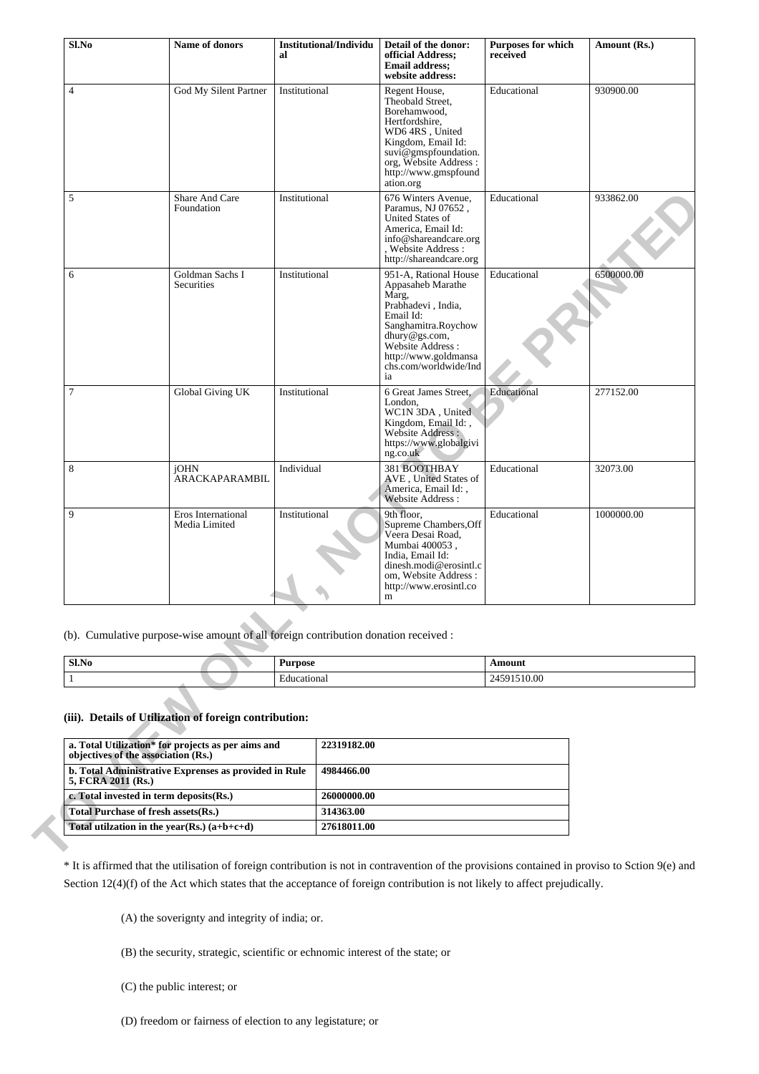| God My Silent Partner<br><b>Share And Care</b><br>Foundation<br>Goldman Sachs I<br>Securities<br>Global Giving UK<br>ARACKAPARAMBIL<br>Eros International | Institutional<br>Institutional<br>Institutional<br>Institutional<br>Individual<br>Institutional |                                                                                                              | Regent House,<br>Theobald Street,<br>Borehamwood,<br>Hertfordshire,<br>WD6 4RS, United<br>Kingdom, Email Id:<br>suvi@gmspfoundation.<br>org, Website Address :<br>http://www.gmspfound<br>ation.org<br>676 Winters Avenue,<br>Paramus, NJ 07652,<br>United States of<br>America, Email Id:<br>info@shareandcare.org<br>, Website Address :<br>http://shareandcare.org<br>951-A, Rational House<br>Appasaheb Marathe<br>Marg,<br>Prabhadevi, India,<br>Email Id:<br>Sanghamitra.Roychow<br>dhury@gs.com,<br>Website Address :<br>http://www.goldmansa<br>chs.com/worldwide/Ind<br>ia<br>6 Great James Street,<br>London,<br>WC1N 3DA, United<br>Kingdom, Email Id:,<br>Website Address:<br>https://www.globalgivi<br>ng.co.uk<br>381 BOOTHBAY<br>AVE, United States of<br>America, Email Id:, | Educational<br>Educational<br>Educational<br>Educational<br>Educational | 930900.00<br>933862.00<br>6500000.00<br>277152.00<br>32073.00 |  |
|-----------------------------------------------------------------------------------------------------------------------------------------------------------|-------------------------------------------------------------------------------------------------|--------------------------------------------------------------------------------------------------------------|----------------------------------------------------------------------------------------------------------------------------------------------------------------------------------------------------------------------------------------------------------------------------------------------------------------------------------------------------------------------------------------------------------------------------------------------------------------------------------------------------------------------------------------------------------------------------------------------------------------------------------------------------------------------------------------------------------------------------------------------------------------------------------------------|-------------------------------------------------------------------------|---------------------------------------------------------------|--|
|                                                                                                                                                           |                                                                                                 |                                                                                                              |                                                                                                                                                                                                                                                                                                                                                                                                                                                                                                                                                                                                                                                                                                                                                                                              |                                                                         |                                                               |  |
|                                                                                                                                                           |                                                                                                 |                                                                                                              |                                                                                                                                                                                                                                                                                                                                                                                                                                                                                                                                                                                                                                                                                                                                                                                              |                                                                         |                                                               |  |
|                                                                                                                                                           |                                                                                                 |                                                                                                              |                                                                                                                                                                                                                                                                                                                                                                                                                                                                                                                                                                                                                                                                                                                                                                                              |                                                                         |                                                               |  |
|                                                                                                                                                           |                                                                                                 |                                                                                                              |                                                                                                                                                                                                                                                                                                                                                                                                                                                                                                                                                                                                                                                                                                                                                                                              |                                                                         |                                                               |  |
|                                                                                                                                                           |                                                                                                 |                                                                                                              | Website Address:                                                                                                                                                                                                                                                                                                                                                                                                                                                                                                                                                                                                                                                                                                                                                                             |                                                                         |                                                               |  |
| Media Limited                                                                                                                                             |                                                                                                 |                                                                                                              | 9th floor.<br>Supreme Chambers, Off<br>Veera Desai Road,<br>Mumbai 400053,<br>India, Email Id:<br>dinesh.modi@erosintl.c<br>om, Website Address:<br>http://www.erosintl.co<br>m                                                                                                                                                                                                                                                                                                                                                                                                                                                                                                                                                                                                              | Educational                                                             | 1000000.00                                                    |  |
|                                                                                                                                                           |                                                                                                 |                                                                                                              | (b). Cumulative purpose-wise amount of all foreign contribution donation received :                                                                                                                                                                                                                                                                                                                                                                                                                                                                                                                                                                                                                                                                                                          |                                                                         |                                                               |  |
|                                                                                                                                                           |                                                                                                 |                                                                                                              |                                                                                                                                                                                                                                                                                                                                                                                                                                                                                                                                                                                                                                                                                                                                                                                              | Amount                                                                  |                                                               |  |
|                                                                                                                                                           |                                                                                                 |                                                                                                              |                                                                                                                                                                                                                                                                                                                                                                                                                                                                                                                                                                                                                                                                                                                                                                                              | 24591510.00                                                             |                                                               |  |
|                                                                                                                                                           |                                                                                                 |                                                                                                              |                                                                                                                                                                                                                                                                                                                                                                                                                                                                                                                                                                                                                                                                                                                                                                                              |                                                                         |                                                               |  |
| objectives of the association (Rs.)                                                                                                                       |                                                                                                 | 22319182.00                                                                                                  |                                                                                                                                                                                                                                                                                                                                                                                                                                                                                                                                                                                                                                                                                                                                                                                              |                                                                         |                                                               |  |
| b. Total Administrative Exprenses as provided in Rule<br>5, FCRA 2011 (Rs.)                                                                               |                                                                                                 |                                                                                                              |                                                                                                                                                                                                                                                                                                                                                                                                                                                                                                                                                                                                                                                                                                                                                                                              |                                                                         |                                                               |  |
|                                                                                                                                                           | c. Total invested in term deposits(Rs.)<br><b>Total Purchase of fresh assets(Rs.)</b>           |                                                                                                              |                                                                                                                                                                                                                                                                                                                                                                                                                                                                                                                                                                                                                                                                                                                                                                                              |                                                                         |                                                               |  |
|                                                                                                                                                           |                                                                                                 | 26000000.00<br>314363.00                                                                                     |                                                                                                                                                                                                                                                                                                                                                                                                                                                                                                                                                                                                                                                                                                                                                                                              |                                                                         |                                                               |  |
|                                                                                                                                                           |                                                                                                 | (iii). Details of Utilization of foreign contribution:<br>a. Total Utilization* for projects as per aims and | <b>Purpose</b><br>Educational<br>4984466.00                                                                                                                                                                                                                                                                                                                                                                                                                                                                                                                                                                                                                                                                                                                                                  |                                                                         |                                                               |  |

| Sl.No | $\cdots$<br>---- | 33.033<br>$\frac{1}{2} \left( \frac{1}{2} \right) \left( \frac{1}{2} \right) \left( \frac{1}{2} \right) \left( \frac{1}{2} \right) \left( \frac{1}{2} \right) \left( \frac{1}{2} \right) \left( \frac{1}{2} \right) \left( \frac{1}{2} \right) \left( \frac{1}{2} \right) \left( \frac{1}{2} \right) \left( \frac{1}{2} \right) \left( \frac{1}{2} \right) \left( \frac{1}{2} \right) \left( \frac{1}{2} \right) \left( \frac{1}{2} \right) \left( \frac{1}{2} \right) \left( \frac$ |
|-------|------------------|--------------------------------------------------------------------------------------------------------------------------------------------------------------------------------------------------------------------------------------------------------------------------------------------------------------------------------------------------------------------------------------------------------------------------------------------------------------------------------------|
|       | rcationa.<br>dн  | --<br>.                                                                                                                                                                                                                                                                                                                                                                                                                                                                              |

## **(iii). Details of Utilization of foreign contribution:**

| a. Total Utilization* for projects as per aims and<br>objectives of the association (Rs.) | 22319182.00 |
|-------------------------------------------------------------------------------------------|-------------|
| b. Total Administrative Exprenses as provided in Rule<br>5, FCRA 2011 (Rs.)               | 4984466.00  |
| c. Total invested in term deposits (Rs.)                                                  | 26000000.00 |
| Total Purchase of fresh assets (Rs.)                                                      | 314363.00   |
| Total utilization in the year(Rs.) $(a+b+c+d)$                                            | 27618011.00 |

\* It is affirmed that the utilisation of foreign contribution is not in contravention of the provisions contained in proviso to Sction 9(e) and Section 12(4)(f) of the Act which states that the acceptance of foreign contribution is not likely to affect prejudically.

(A) the soverignty and integrity of india; or.

- (B) the security, strategic, scientific or echnomic interest of the state; or
- (C) the public interest; or
- (D) freedom or fairness of election to any legistature; or